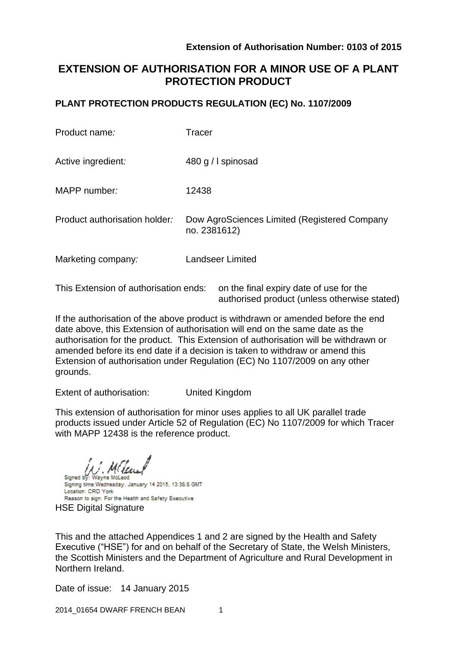# **EXTENSION OF AUTHORISATION FOR A MINOR USE OF A PLANT PROTECTION PRODUCT**

### **PLANT PROTECTION PRODUCTS REGULATION (EC) No. 1107/2009**

| Product name:                 | Tracer                                                       |
|-------------------------------|--------------------------------------------------------------|
| Active ingredient:            | 480 g / I spinosad                                           |
| MAPP number:                  | 12438                                                        |
| Product authorisation holder: | Dow AgroSciences Limited (Registered Company<br>no. 2381612) |
| Marketing company:            | <b>Landseer Limited</b>                                      |
|                               |                                                              |

This Extension of authorisation ends: on the final expiry date of use for the authorised product (unless otherwise stated)

If the authorisation of the above product is withdrawn or amended before the end date above, this Extension of authorisation will end on the same date as the authorisation for the product. This Extension of authorisation will be withdrawn or amended before its end date if a decision is taken to withdraw or amend this Extension of authorisation under Regulation (EC) No 1107/2009 on any other grounds.

Extent of authorisation: United Kingdom

This extension of authorisation for minor uses applies to all UK parallel trade products issued under Article 52 of Regulation (EC) No 1107/2009 for which Tracer with MAPP 12438 is the reference product.

Wayne McLeod

Signed by: Signing time: Wednesday, January 14 2015, 13:38:8 GMT Location: CRD York Reason to sign: For the Health and Safety Executive HSE Digital Signature

This and the attached Appendices 1 and 2 are signed by the Health and Safety Executive ("HSE") for and on behalf of the Secretary of State, the Welsh Ministers, the Scottish Ministers and the Department of Agriculture and Rural Development in Northern Ireland.

Date of issue: 14 January 2015

2014\_01654 DWARF FRENCH BEAN 1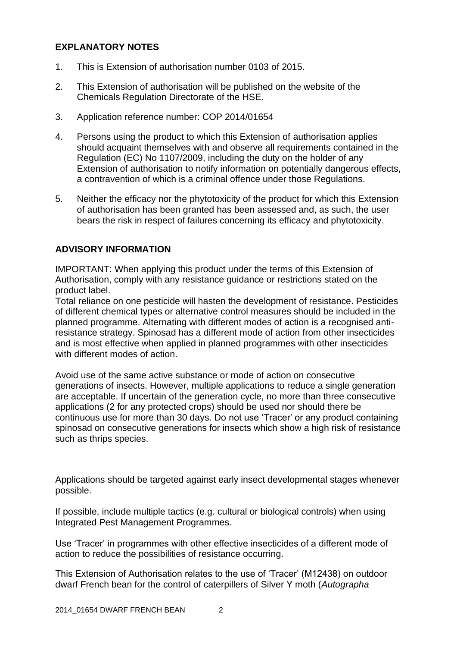### **EXPLANATORY NOTES**

- 1. This is Extension of authorisation number 0103 of 2015.
- 2. This Extension of authorisation will be published on the website of the Chemicals Regulation Directorate of the HSE.
- 3. Application reference number: COP 2014/01654
- 4. Persons using the product to which this Extension of authorisation applies should acquaint themselves with and observe all requirements contained in the Regulation (EC) No 1107/2009, including the duty on the holder of any Extension of authorisation to notify information on potentially dangerous effects, a contravention of which is a criminal offence under those Regulations.
- 5. Neither the efficacy nor the phytotoxicity of the product for which this Extension of authorisation has been granted has been assessed and, as such, the user bears the risk in respect of failures concerning its efficacy and phytotoxicity.

### **ADVISORY INFORMATION**

IMPORTANT: When applying this product under the terms of this Extension of Authorisation, comply with any resistance guidance or restrictions stated on the product label.

Total reliance on one pesticide will hasten the development of resistance. Pesticides of different chemical types or alternative control measures should be included in the planned programme. Alternating with different modes of action is a recognised antiresistance strategy. Spinosad has a different mode of action from other insecticides and is most effective when applied in planned programmes with other insecticides with different modes of action.

Avoid use of the same active substance or mode of action on consecutive generations of insects. However, multiple applications to reduce a single generation are acceptable. If uncertain of the generation cycle, no more than three consecutive applications (2 for any protected crops) should be used nor should there be continuous use for more than 30 days. Do not use 'Tracer' or any product containing spinosad on consecutive generations for insects which show a high risk of resistance such as thrips species.

Applications should be targeted against early insect developmental stages whenever possible.

If possible, include multiple tactics (e.g. cultural or biological controls) when using Integrated Pest Management Programmes.

Use 'Tracer' in programmes with other effective insecticides of a different mode of action to reduce the possibilities of resistance occurring.

This Extension of Authorisation relates to the use of 'Tracer' (M12438) on outdoor dwarf French bean for the control of caterpillers of Silver Y moth (*Autographa*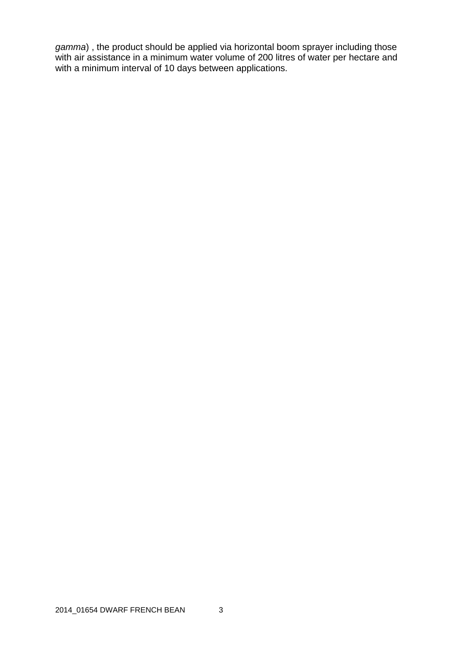*gamma*) , the product should be applied via horizontal boom sprayer including those with air assistance in a minimum water volume of 200 litres of water per hectare and with a minimum interval of 10 days between applications.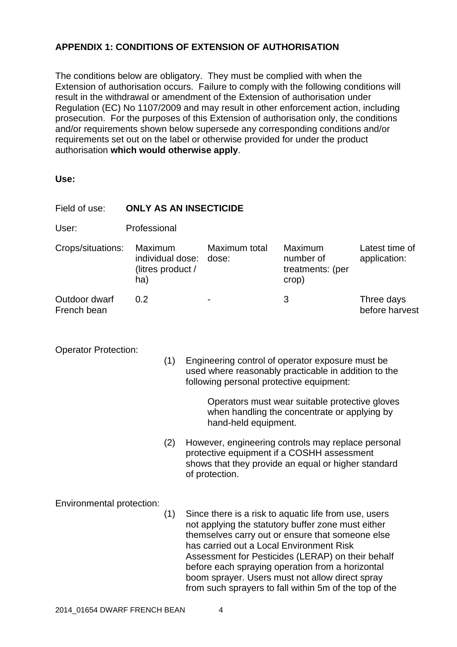## **APPENDIX 1: CONDITIONS OF EXTENSION OF AUTHORISATION**

The conditions below are obligatory. They must be complied with when the Extension of authorisation occurs. Failure to comply with the following conditions will result in the withdrawal or amendment of the Extension of authorisation under Regulation (EC) No 1107/2009 and may result in other enforcement action, including prosecution. For the purposes of this Extension of authorisation only, the conditions and/or requirements shown below supersede any corresponding conditions and/or requirements set out on the label or otherwise provided for under the product authorisation **which would otherwise apply**.

**Use:**

| Field of use:                    | <b>ONLY AS AN INSECTICIDE</b>                                                                                                                                                                                                                                 |     |                                                                                                                                                                                                                                                                                                                                                                                                                                   |                        |                                                   |                                |  |  |
|----------------------------------|---------------------------------------------------------------------------------------------------------------------------------------------------------------------------------------------------------------------------------------------------------------|-----|-----------------------------------------------------------------------------------------------------------------------------------------------------------------------------------------------------------------------------------------------------------------------------------------------------------------------------------------------------------------------------------------------------------------------------------|------------------------|---------------------------------------------------|--------------------------------|--|--|
| User:                            | Professional                                                                                                                                                                                                                                                  |     |                                                                                                                                                                                                                                                                                                                                                                                                                                   |                        |                                                   |                                |  |  |
| Crops/situations:                | Maximum<br>individual dose:<br>(litres product /<br>ha)                                                                                                                                                                                                       |     |                                                                                                                                                                                                                                                                                                                                                                                                                                   | Maximum total<br>dose: | Maximum<br>number of<br>treatments: (per<br>crop) | Latest time of<br>application: |  |  |
| Outdoor dwarf<br>French bean     | 0.2                                                                                                                                                                                                                                                           |     |                                                                                                                                                                                                                                                                                                                                                                                                                                   |                        | 3                                                 | Three days<br>before harvest   |  |  |
| <b>Operator Protection:</b>      | (1)<br>Engineering control of operator exposure must be<br>used where reasonably practicable in addition to the<br>following personal protective equipment:<br>Operators must wear suitable protective gloves<br>when handling the concentrate or applying by |     |                                                                                                                                                                                                                                                                                                                                                                                                                                   |                        |                                                   |                                |  |  |
|                                  |                                                                                                                                                                                                                                                               | (2) | hand-held equipment.<br>However, engineering controls may replace personal<br>protective equipment if a COSHH assessment<br>shows that they provide an equal or higher standard<br>of protection.                                                                                                                                                                                                                                 |                        |                                                   |                                |  |  |
| Environmental protection:<br>(1) |                                                                                                                                                                                                                                                               |     | Since there is a risk to aquatic life from use, users<br>not applying the statutory buffer zone must either<br>themselves carry out or ensure that someone else<br>has carried out a Local Environment Risk<br>Assessment for Pesticides (LERAP) on their behalf<br>before each spraying operation from a horizontal<br>boom sprayer. Users must not allow direct spray<br>from such sprayers to fall within 5m of the top of the |                        |                                                   |                                |  |  |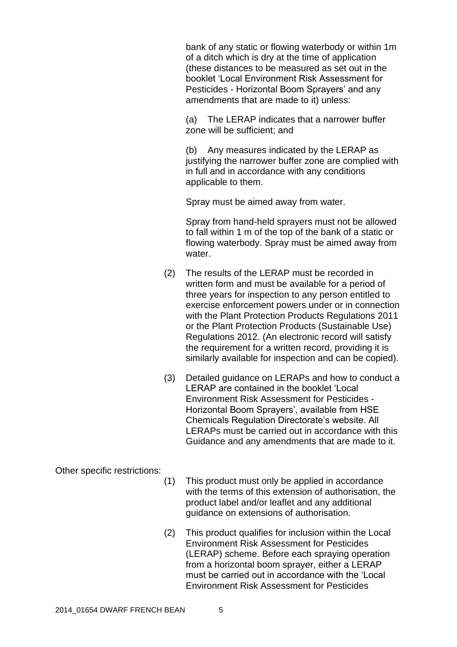bank of any static or flowing waterbody or within 1m of a ditch which is dry at the time of application (these distances to be measured as set out in the booklet 'Local Environment Risk Assessment for Pesticides - Horizontal Boom Sprayers' and any amendments that are made to it) unless:

(a) The LERAP indicates that a narrower buffer zone will be sufficient; and

(b) Any measures indicated by the LERAP as justifying the narrower buffer zone are complied with in full and in accordance with any conditions applicable to them.

Spray must be aimed away from water.

Spray from hand-held sprayers must not be allowed to fall within 1 m of the top of the bank of a static or flowing waterbody. Spray must be aimed away from water.

- (2) The results of the LERAP must be recorded in written form and must be available for a period of three years for inspection to any person entitled to exercise enforcement powers under or in connection with the Plant Protection Products Regulations 2011 or the Plant Protection Products (Sustainable Use) Regulations 2012. (An electronic record will satisfy the requirement for a written record, providing it is similarly available for inspection and can be copied).
- (3) Detailed guidance on LERAPs and how to conduct a LERAP are contained in the booklet 'Local Environment Risk Assessment for Pesticides - Horizontal Boom Sprayers', available from HSE Chemicals Regulation Directorate's website. All LERAPs must be carried out in accordance with this Guidance and any amendments that are made to it.

Other specific restrictions:

- (1) This product must only be applied in accordance with the terms of this extension of authorisation, the product label and/or leaflet and any additional guidance on extensions of authorisation.
- (2) This product qualifies for inclusion within the Local Environment Risk Assessment for Pesticides (LERAP) scheme. Before each spraying operation from a horizontal boom sprayer, either a LERAP must be carried out in accordance with the 'Local Environment Risk Assessment for Pesticides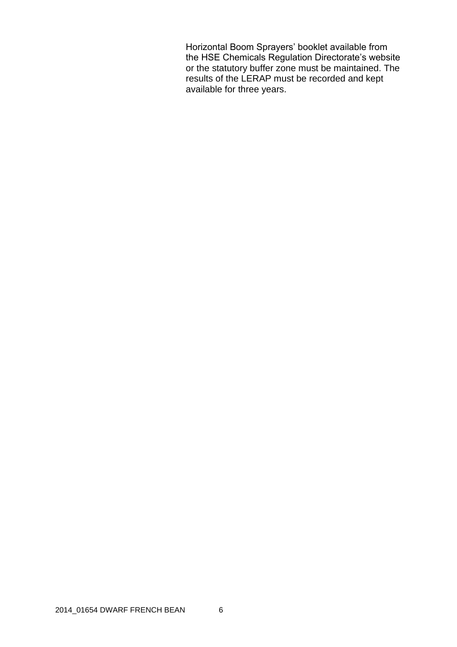Horizontal Boom Sprayers' booklet available from the HSE Chemicals Regulation Directorate's website or the statutory buffer zone must be maintained. The results of the LERAP must be recorded and kept available for three years.